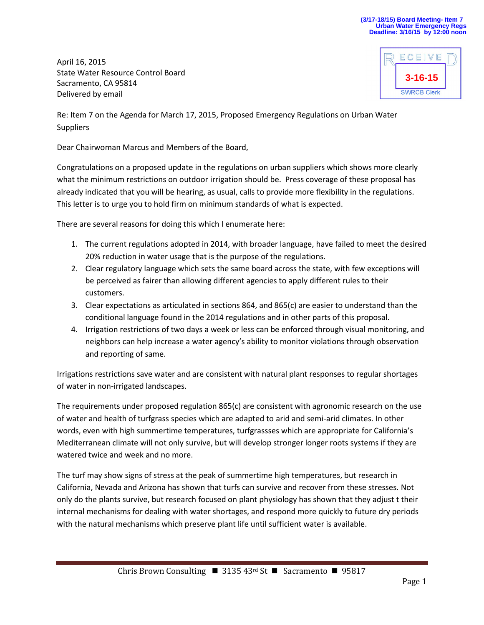April 16, 2015 State Water Resource Control Board Sacramento, CA 95814 Delivered by email



Re: Item 7 on the Agenda for March 17, 2015, Proposed Emergency Regulations on Urban Water **Suppliers** 

Dear Chairwoman Marcus and Members of the Board,

Congratulations on a proposed update in the regulations on urban suppliers which shows more clearly what the minimum restrictions on outdoor irrigation should be. Press coverage of these proposal has already indicated that you will be hearing, as usual, calls to provide more flexibility in the regulations. This letter is to urge you to hold firm on minimum standards of what is expected.

There are several reasons for doing this which I enumerate here:

- 1. The current regulations adopted in 2014, with broader language, have failed to meet the desired 20% reduction in water usage that is the purpose of the regulations.
- 2. Clear regulatory language which sets the same board across the state, with few exceptions will be perceived as fairer than allowing different agencies to apply different rules to their customers.
- 3. Clear expectations as articulated in sections 864, and 865(c) are easier to understand than the conditional language found in the 2014 regulations and in other parts of this proposal.
- 4. Irrigation restrictions of two days a week or less can be enforced through visual monitoring, and neighbors can help increase a water agency's ability to monitor violations through observation and reporting of same.

Irrigations restrictions save water and are consistent with natural plant responses to regular shortages of water in non-irrigated landscapes.

The requirements under proposed regulation 865(c) are consistent with agronomic research on the use of water and health of turfgrass species which are adapted to arid and semi-arid climates. In other words, even with high summertime temperatures, turfgrassses which are appropriate for California's Mediterranean climate will not only survive, but will develop stronger longer roots systems if they are watered twice and week and no more.

The turf may show signs of stress at the peak of summertime high temperatures, but research in California, Nevada and Arizona has shown that turfs can survive and recover from these stresses. Not only do the plants survive, but research focused on plant physiology has shown that they adjust t their internal mechanisms for dealing with water shortages, and respond more quickly to future dry periods with the natural mechanisms which preserve plant life until sufficient water is available.